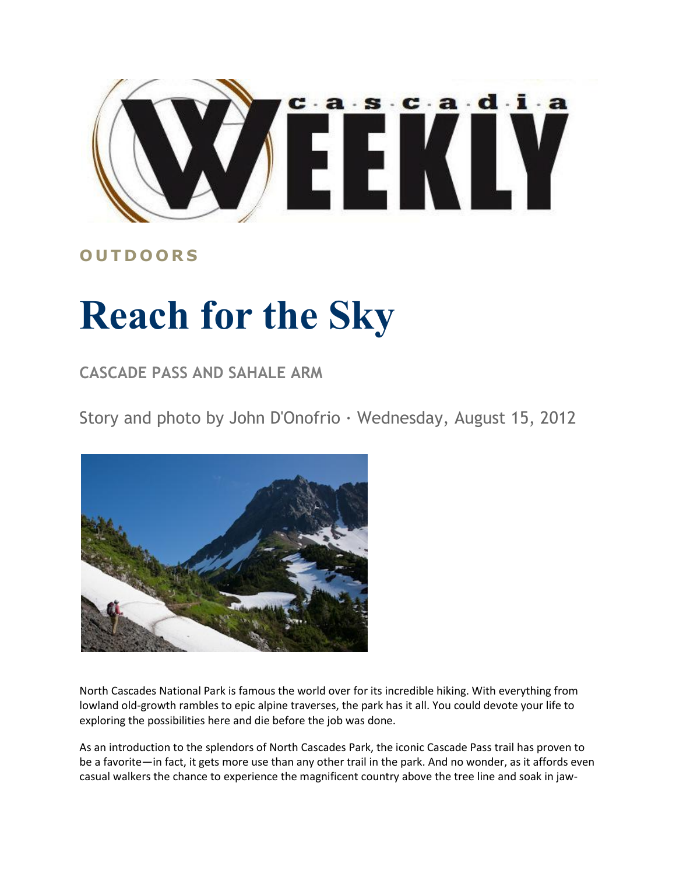

## **O U T D O O R S**

## **Reach for the Sky**

## **CASCADE PASS AND SAHALE ARM**

Story and photo by John D'Onofrio · Wednesday, August 15, 2012



North Cascades National Park is famous the world over for its incredible hiking. With everything from lowland old-growth rambles to epic alpine traverses, the park has it all. You could devote your life to exploring the possibilities here and die before the job was done.

As an introduction to the splendors of North Cascades Park, the iconic Cascade Pass trail has proven to be a favorite—in fact, it gets more use than any other trail in the park. And no wonder, as it affords even casual walkers the chance to experience the magnificent country above the tree line and soak in jaw